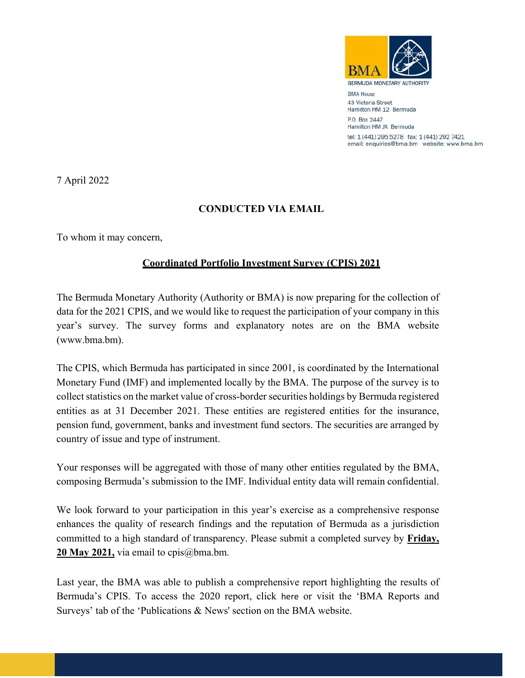

**RMA HOUSE** 43 Victoria Street Hamilton HM 12 Bermuda P.O. Box 2447

Hamilton HM JX Bermuda tel: 1 (441) 295 5278 fax: 1 (441) 292 7421 email: enquiries@bma.bm website: www.bma.bm

7 April 2022

## **CONDUCTED VIA EMAIL**

To whom it may concern,

## **Coordinated Portfolio Investment Survey (CPIS) 2021**

The Bermuda Monetary Authority (Authority or BMA) is now preparing for the collection of data for the 2021 CPIS, and we would like to request the participation of your company in this year's survey. The survey forms and explanatory notes are on the BMA website (www.bma.bm).

The CPIS, which Bermuda has participated in since 2001, is coordinated by the International Monetary Fund (IMF) and implemented locally by the BMA. The purpose of the survey is to collect statistics on the market value of cross-border securities holdings by Bermuda registered entities as at 31 December 2021. These entities are registered entities for the insurance, pension fund, government, banks and investment fund sectors. The securities are arranged by country of issue and type of instrument.

Your responses will be aggregated with those of many other entities regulated by the BMA, composing Bermuda's submission to the IMF. Individual entity data will remain confidential.

We look forward to your participation in this year's exercise as a comprehensive response enhances the quality of research findings and the reputation of Bermuda as a jurisdiction committed to a high standard of transparency. Please submit a completed survey by **Friday, 20 May 2021,** via email to cpis@bma.bm.

Last year, the BMA was able to publish a comprehensive report highlighting the results of Bermuda's CPIS. To access the 2020 report, click here or visit the 'BMA Reports and Surveys' tab of the 'Publications & News' section on the BMA website.